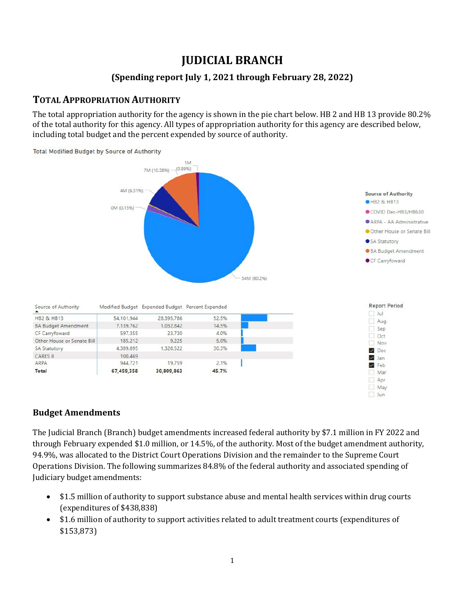# **JUDICIAL BRANCH**

#### **(Spending report July 1, 2021 through February 28, 2022)**

### **TOTAL APPROPRIATION AUTHORITY**

The total appropriation authority for the agency is shown in the pie chart below. HB 2 and HB 13 provide 80.2% of the total authority for this agency. All types of appropriation authority for this agency are described below, including total budget and the percent expended by source of authority.



#### **Budget Amendments**

The Judicial Branch (Branch) budget amendments increased federal authority by \$7.1 million in FY 2022 and through February expended \$1.0 million, or 14.5%, of the authority. Most of the budget amendment authority, 94.9%, was allocated to the District Court Operations Division and the remainder to the Supreme Court Operations Division. The following summarizes 84.8% of the federal authority and associated spending of Judiciary budget amendments:

- \$1.5 million of authority to support substance abuse and mental health services within drug courts (expenditures of \$438,838)
- \$1.6 million of authority to support activities related to adult treatment courts (expenditures of \$153,873)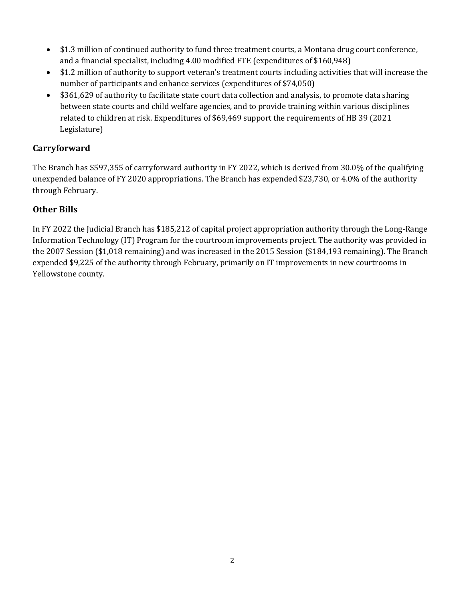- \$1.3 million of continued authority to fund three treatment courts, a Montana drug court conference, and a financial specialist, including 4.00 modified FTE (expenditures of \$160,948)
- \$1.2 million of authority to support veteran's treatment courts including activities that will increase the number of participants and enhance services (expenditures of \$74,050)
- \$361,629 of authority to facilitate state court data collection and analysis, to promote data sharing between state courts and child welfare agencies, and to provide training within various disciplines related to children at risk. Expenditures of \$69,469 support the requirements of HB 39 (2021 Legislature)

#### **Carryforward**

The Branch has \$597,355 of carryforward authority in FY 2022, which is derived from 30.0% of the qualifying unexpended balance of FY 2020 appropriations. The Branch has expended \$23,730, or 4.0% of the authority through February.

#### **Other Bills**

In FY 2022 the Judicial Branch has \$185,212 of capital project appropriation authority through the Long-Range Information Technology (IT) Program for the courtroom improvements project. The authority was provided in the 2007 Session (\$1,018 remaining) and was increased in the 2015 Session (\$184,193 remaining). The Branch expended \$9,225 of the authority through February, primarily on IT improvements in new courtrooms in Yellowstone county.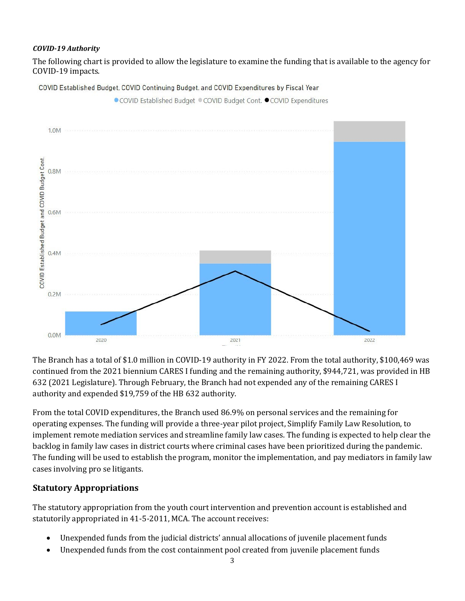#### *COVID-19 Authority*

The following chart is provided to allow the legislature to examine the funding that is available to the agency for COVID-19 impacts.

COVID Established Budget, COVID Continuing Budget. and COVID Expenditures by Fiscal Year



The Branch has a total of \$1.0 million in COVID-19 authority in FY 2022. From the total authority, \$100,469 was continued from the 2021 biennium CARES I funding and the remaining authority, \$944,721, was provided in HB 632 (2021 Legislature). Through February, the Branch had not expended any of the remaining CARES I authority and expended \$19,759 of the HB 632 authority.

From the total COVID expenditures, the Branch used 86.9% on personal services and the remaining for operating expenses. The funding will provide a three-year pilot project, Simplify Family Law Resolution, to implement remote mediation services and streamline family law cases. The funding is expected to help clear the backlog in family law cases in district courts where criminal cases have been prioritized during the pandemic. The funding will be used to establish the program, monitor the implementation, and pay mediators in family law cases involving pro se litigants.

#### **Statutory Appropriations**

The statutory appropriation from the youth court intervention and prevention account is established and statutorily appropriated in 41-5-2011, MCA. The account receives:

- Unexpended funds from the judicial districts' annual allocations of juvenile placement funds
- Unexpended funds from the cost containment pool created from juvenile placement funds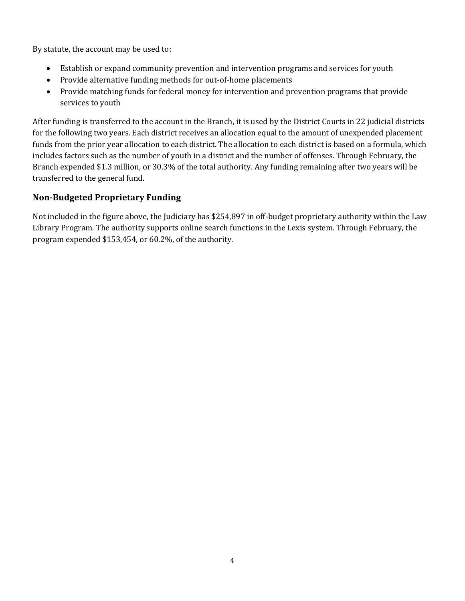By statute, the account may be used to:

- Establish or expand community prevention and intervention programs and services for youth
- Provide alternative funding methods for out-of-home placements
- Provide matching funds for federal money for intervention and prevention programs that provide services to youth

After funding is transferred to the account in the Branch, it is used by the District Courts in 22 judicial districts for the following two years. Each district receives an allocation equal to the amount of unexpended placement funds from the prior year allocation to each district. The allocation to each district is based on a formula, which includes factors such as the number of youth in a district and the number of offenses. Through February, the Branch expended \$1.3 million, or 30.3% of the total authority. Any funding remaining after two years will be transferred to the general fund.

#### **Non-Budgeted Proprietary Funding**

Not included in the figure above, the Judiciary has \$254,897 in off-budget proprietary authority within the Law Library Program. The authority supports online search functions in the Lexis system. Through February, the program expended \$153,454, or 60.2%, of the authority.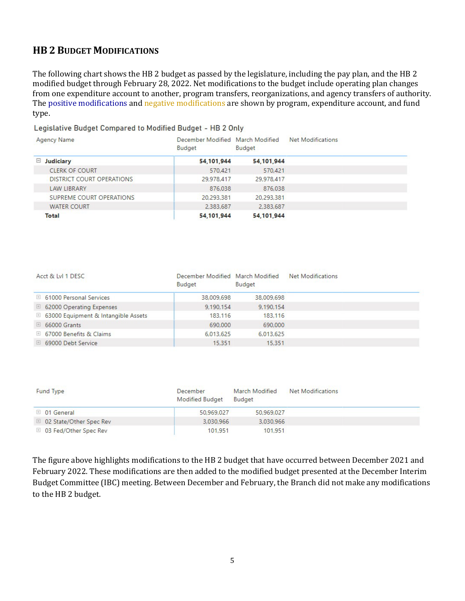#### **HB 2 BUDGET MODIFICATIONS**

The following chart shows the HB 2 budget as passed by the legislature, including the pay plan, and the HB 2 modified budget through February 28, 2022. Net modifications to the budget include operating plan changes from one expenditure account to another, program transfers, reorganizations, and agency transfers of authority. The positive modifications and negative modifications are shown by program, expenditure account, and fund type.

#### Legislative Budget Compared to Modified Budget - HB 2 Only

| Agency Name               | December Modified March Modified<br><b>Budget</b> | <b>Budget</b> | Net Modifications |  |
|---------------------------|---------------------------------------------------|---------------|-------------------|--|
| $\Box$ Judiciary          | 54,101,944                                        | 54,101,944    |                   |  |
| <b>CLERK OF COURT</b>     | 570,421                                           | 570,421       |                   |  |
| DISTRICT COURT OPERATIONS | 29,978,417                                        | 29,978,417    |                   |  |
| <b>LAW LIBRARY</b>        | 876,038                                           | 876,038       |                   |  |
| SUPREME COURT OPERATIONS  | 20,293,381                                        | 20,293,381    |                   |  |
| <b>WATER COURT</b>        | 2.383,687                                         | 2,383,687     |                   |  |
| Total                     | 54,101,944                                        | 54,101,944    |                   |  |

| Acct & Lyl 1 DESC                     | December Modified March Modified<br><b>Budget</b> | Budget     | <b>Net Modifications</b> |  |
|---------------------------------------|---------------------------------------------------|------------|--------------------------|--|
| □ 61000 Personal Services             | 38,009,698                                        | 38,009,698 |                          |  |
| □ 62000 Operating Expenses            | 9,190,154                                         | 9,190,154  |                          |  |
| □ 63000 Equipment & Intangible Assets | 183,116                                           | 183.116    |                          |  |
| $\boxplus$ 66000 Grants               | 690,000                                           | 690,000    |                          |  |
| □ 67000 Benefits & Claims             | 6,013,625                                         | 6.013.625  |                          |  |
| □ 69000 Debt Service                  | 15.351                                            | 15,351     |                          |  |

| Fund Type                 | December<br><b>Modified Budget</b> | March Modified<br><b>Budget</b> | Net Modifications |  |
|---------------------------|------------------------------------|---------------------------------|-------------------|--|
| $\boxplus$ 01 General     | 50,969,027                         | 50.969.027                      |                   |  |
| □ 02 State/Other Spec Rev | 3,030,966                          | 3.030.966                       |                   |  |
| □ 03 Fed/Other Spec Rev   | 101.951                            | 101.951                         |                   |  |

The figure above highlights modifications to the HB 2 budget that have occurred between December 2021 and February 2022. These modifications are then added to the modified budget presented at the December Interim Budget Committee (IBC) meeting. Between December and February, the Branch did not make any modifications to the HB 2 budget.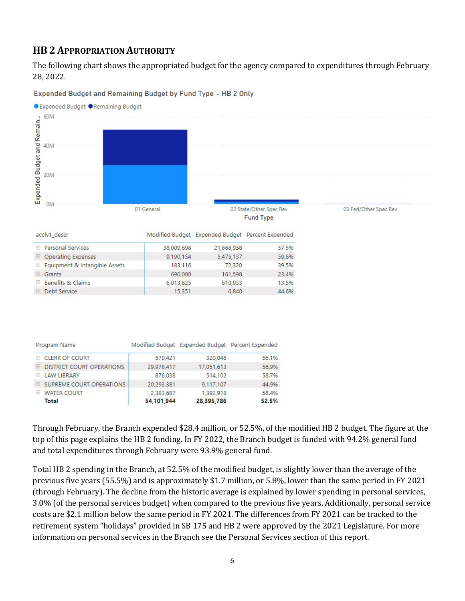### **HB 2 APPROPRIATION AUTHORITY**

The following chart shows the appropriated budget for the agency compared to expenditures through February 28, 2022.

Expended Budget and Remaining Budget by Fund Type - HB 2 Only



| Program Name                               |            |            | Modified Budget Expended Budget Percent Expended |
|--------------------------------------------|------------|------------|--------------------------------------------------|
| E CLERK OF COURT                           | 570,421    | 320,046    | 56.1%                                            |
| <b>DISTRICT COURT OPERATIONS</b><br>$\Box$ | 29,978,417 | 17,051,613 | 56.9%                                            |
| <b>LAW LIBRARY</b><br>$\left  + \right $   | 876.038    | 514,102    | 58.7%                                            |
| E SUPREME COURT OPERATIONS                 | 20,293,381 | 9.117.107  | 44.9%                                            |
| <b>WATER COURT</b><br>$ + $                | 2.383.687  | 1,392,918  | 58.4%                                            |
| Total                                      | 54,101,944 | 28,395,786 | 52.5%                                            |

Through February, the Branch expended \$28.4 million, or 52.5%, of the modified HB 2 budget. The figure at the top of this page explains the HB 2 funding. In FY 2022, the Branch budget is funded with 94.2% general fund and total expenditures through February were 93.9% general fund.

Total HB 2 spending in the Branch, at 52.5% of the modified budget, is slightly lower than the average of the previous five years (55.5%) and is approximately \$1.7 million, or 5.8%, lower than the same period in FY 2021 (through February). The decline from the historic average is explained by lower spending in personal services, 3.0% (of the personal services budget) when compared to the previous five years. Additionally, personal service costs are \$2.1 million below the same period in FY 2021. The differences from FY 2021 can be tracked to the retirement system "holidays" provided in SB 175 and HB 2 were approved by the 2021 Legislature. For more information on personal services in the Branch see the Personal Services section of this report.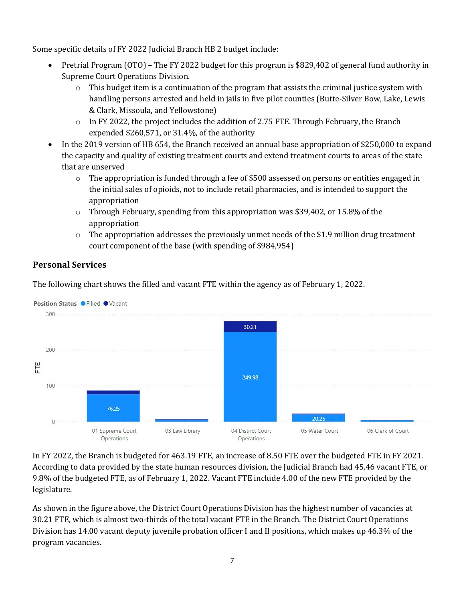Some specific details of FY 2022 Judicial Branch HB 2 budget include:

- Pretrial Program (OTO) The FY 2022 budget for this program is \$829,402 of general fund authority in Supreme Court Operations Division.
	- $\circ$  This budget item is a continuation of the program that assists the criminal justice system with handling persons arrested and held in jails in five pilot counties (Butte-Silver Bow, Lake, Lewis & Clark, Missoula, and Yellowstone)
	- o In FY 2022, the project includes the addition of 2.75 FTE. Through February, the Branch expended \$260,571, or 31.4%, of the authority
- In the 2019 version of HB 654, the Branch received an annual base appropriation of \$250,000 to expand the capacity and quality of existing treatment courts and extend treatment courts to areas of the state that are unserved
	- $\circ$  The appropriation is funded through a fee of \$500 assessed on persons or entities engaged in the initial sales of opioids, not to include retail pharmacies, and is intended to support the appropriation
	- $\circ$  Through February, spending from this appropriation was \$39,402, or 15.8% of the appropriation
	- $\circ$  The appropriation addresses the previously unmet needs of the \$1.9 million drug treatment court component of the base (with spending of \$984,954)

#### **Personal Services**

The following chart shows the filled and vacant FTE within the agency as of February 1, 2022.



In FY 2022, the Branch is budgeted for 463.19 FTE, an increase of 8.50 FTE over the budgeted FTE in FY 2021. According to data provided by the state human resources division, the Judicial Branch had 45.46 vacant FTE, or 9.8% of the budgeted FTE, as of February 1, 2022. Vacant FTE include 4.00 of the new FTE provided by the legislature.

As shown in the figure above, the District Court Operations Division has the highest number of vacancies at 30.21 FTE, which is almost two-thirds of the total vacant FTE in the Branch. The District Court Operations Division has 14.00 vacant deputy juvenile probation officer I and II positions, which makes up 46.3% of the program vacancies.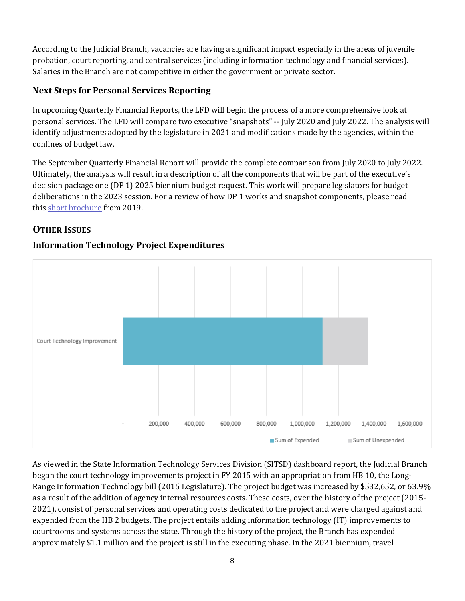According to the Judicial Branch, vacancies are having a significant impact especially in the areas of juvenile probation, court reporting, and central services (including information technology and financial services). Salaries in the Branch are not competitive in either the government or private sector.

#### **Next Steps for Personal Services Reporting**

In upcoming Quarterly Financial Reports, the LFD will begin the process of a more comprehensive look at personal services. The LFD will compare two executive "snapshots" -- July 2020 and July 2022. The analysis will identify adjustments adopted by the legislature in 2021 and modifications made by the agencies, within the confines of budget law.

The September Quarterly Financial Report will provide the complete comparison from July 2020 to July 2022. Ultimately, the analysis will result in a description of all the components that will be part of the executive's decision package one (DP 1) 2025 biennium budget request. This work will prepare legislators for budget deliberations in the 2023 session. For a review of how DP 1 works and snapshot components, please read this [short brochure](https://montana.maps.arcgis.com/apps/Cascade/index.html?appid=23095fcf15754f4fb38b63c58a884b97) from 2019.

# **OTHER ISSUES**

#### **Information Technology Project Expenditures**



As viewed in the State Information Technology Services Division (SITSD) dashboard report, the Judicial Branch began the court technology improvements project in FY 2015 with an appropriation from HB 10, the Long-Range Information Technology bill (2015 Legislature). The project budget was increased by \$532,652, or 63.9% as a result of the addition of agency internal resources costs. These costs, over the history of the project (2015- 2021), consist of personal services and operating costs dedicated to the project and were charged against and expended from the HB 2 budgets. The project entails adding information technology (IT) improvements to courtrooms and systems across the state. Through the history of the project, the Branch has expended approximately \$1.1 million and the project is still in the executing phase. In the 2021 biennium, travel